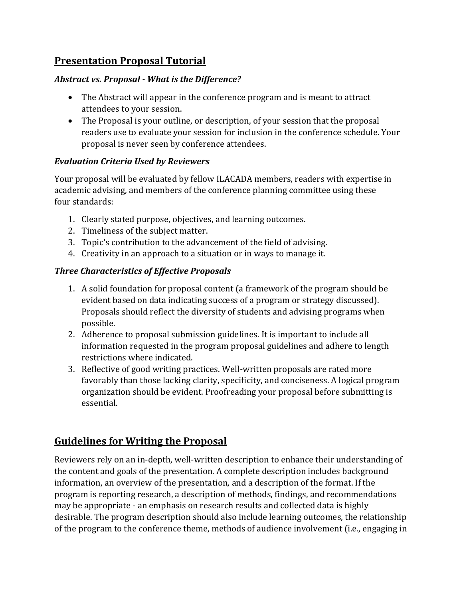# **Presentation Proposal Tutorial**

### *Abstract vs. Proposal - What is the Difference?*

- The Abstract will appear in the conference program and is meant to attract attendees to your session.
- The Proposal is your outline, or description, of your session that the proposal readers use to evaluate your session for inclusion in the conference schedule. Your proposal is never seen by conference attendees.

### *Evaluation Criteria Used by Reviewers*

Your proposal will be evaluated by fellow ILACADA members, readers with expertise in academic advising, and members of the conference planning committee using these four standards:

- 1. Clearly stated purpose, objectives, and learning outcomes.
- 2. Timeliness of the subject matter.
- 3. Topic's contribution to the advancement of the field of advising.
- 4. Creativity in an approach to a situation or in ways to manage it.

#### *Three Characteristics of Effective Proposals*

- 1. A solid foundation for proposal content (a framework of the program should be evident based on data indicating success of a program or strategy discussed). Proposals should reflect the diversity of students and advising programs when possible.
- 2. Adherence to proposal submission guidelines. It is important to include all information requested in the program proposal guidelines and adhere to length restrictions where indicated.
- 3. Reflective of good writing practices. Well-written proposals are rated more favorably than those lacking clarity, specificity, and conciseness. A logical program organization should be evident. Proofreading your proposal before submitting is essential.

# **Guidelines for Writing the Proposal**

Reviewers rely on an in-depth, well-written description to enhance their understanding of the content and goals of the presentation. A complete description includes background information, an overview of the presentation, and a description of the format. If the program is reporting research, a description of methods, findings, and recommendations may be appropriate - an emphasis on research results and collected data is highly desirable. The program description should also include learning outcomes, the relationship of the program to the conference theme, methods of audience involvement (i.e., engaging in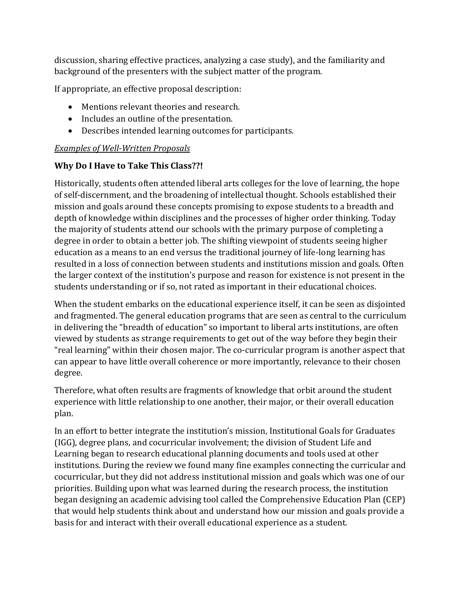discussion, sharing effective practices, analyzing a case study), and the familiarity and background of the presenters with the subject matter of the program.

If appropriate, an effective proposal description:

- Mentions relevant theories and research.
- Includes an outline of the presentation.
- Describes intended learning outcomes for participants.

### *Examples of Well-Written Proposals*

## **Why Do I Have to Take This Class??!**

Historically, students often attended liberal arts colleges for the love of learning, the hope of self-discernment, and the broadening of intellectual thought. Schools established their mission and goals around these concepts promising to expose students to a breadth and depth of knowledge within disciplines and the processes of higher order thinking. Today the majority of students attend our schools with the primary purpose of completing a degree in order to obtain a better job. The shifting viewpoint of students seeing higher education as a means to an end versus the traditional journey of life-long learning has resulted in a loss of connection between students and institutions mission and goals. Often the larger context of the institution's purpose and reason for existence is not present in the students understanding or if so, not rated as important in their educational choices.

When the student embarks on the educational experience itself, it can be seen as disjointed and fragmented. The general education programs that are seen as central to the curriculum in delivering the "breadth of education" so important to liberal arts institutions, are often viewed by students as strange requirements to get out of the way before they begin their "real learning" within their chosen major. The co-curricular program is another aspect that can appear to have little overall coherence or more importantly, relevance to their chosen degree.

Therefore, what often results are fragments of knowledge that orbit around the student experience with little relationship to one another, their major, or their overall education plan.

In an effort to better integrate the institution's mission, Institutional Goals for Graduates (IGG), degree plans, and cocurricular involvement; the division of Student Life and Learning began to research educational planning documents and tools used at other institutions. During the review we found many fine examples connecting the curricular and cocurricular, but they did not address institutional mission and goals which was one of our priorities. Building upon what was learned during the research process, the institution began designing an academic advising tool called the Comprehensive Education Plan (CEP) that would help students think about and understand how our mission and goals provide a basis for and interact with their overall educational experience as a student.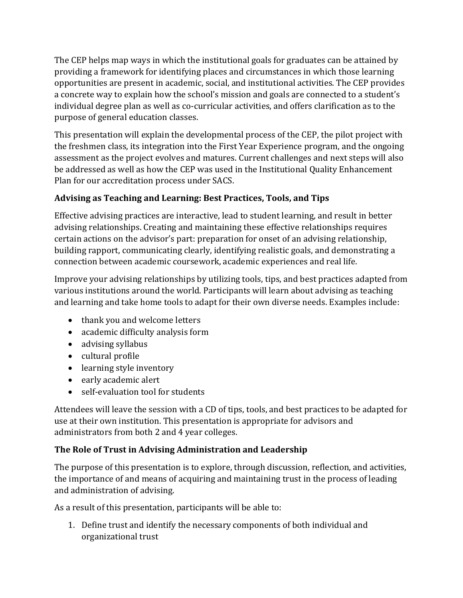The CEP helps map ways in which the institutional goals for graduates can be attained by providing a framework for identifying places and circumstances in which those learning opportunities are present in academic, social, and institutional activities. The CEP provides a concrete way to explain how the school's mission and goals are connected to a student's individual degree plan as well as co-curricular activities, and offers clarification as to the purpose of general education classes.

This presentation will explain the developmental process of the CEP, the pilot project with the freshmen class, its integration into the First Year Experience program, and the ongoing assessment as the project evolves and matures. Current challenges and next steps will also be addressed as well as how the CEP was used in the Institutional Quality Enhancement Plan for our accreditation process under SACS.

# **Advising as Teaching and Learning: Best Practices, Tools, and Tips**

Effective advising practices are interactive, lead to student learning, and result in better advising relationships. Creating and maintaining these effective relationships requires certain actions on the advisor's part: preparation for onset of an advising relationship, building rapport, communicating clearly, identifying realistic goals, and demonstrating a connection between academic coursework, academic experiences and real life.

Improve your advising relationships by utilizing tools, tips, and best practices adapted from various institutions around the world. Participants will learn about advising as teaching and learning and take home tools to adapt for their own diverse needs. Examples include:

- thank you and welcome letters
- academic difficulty analysis form
- advising syllabus
- $\bullet$  cultural profile
- learning style inventory
- early academic alert
- self-evaluation tool for students

Attendees will leave the session with a CD of tips, tools, and best practices to be adapted for use at their own institution. This presentation is appropriate for advisors and administrators from both 2 and 4 year colleges.

# **The Role of Trust in Advising Administration and Leadership**

The purpose of this presentation is to explore, through discussion, reflection, and activities, the importance of and means of acquiring and maintaining trust in the process of leading and administration of advising.

As a result of this presentation, participants will be able to:

1. Define trust and identify the necessary components of both individual and organizational trust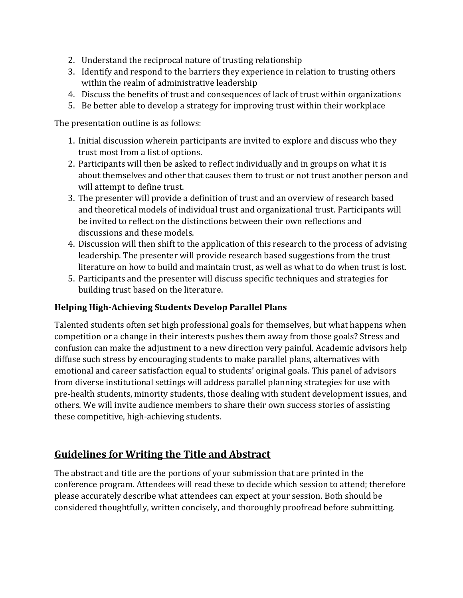- 2. Understand the reciprocal nature of trusting relationship
- 3. Identify and respond to the barriers they experience in relation to trusting others within the realm of administrative leadership
- 4. Discuss the benefits of trust and consequences of lack of trust within organizations
- 5. Be better able to develop a strategy for improving trust within their workplace

The presentation outline is as follows:

- 1. Initial discussion wherein participants are invited to explore and discuss who they trust most from a list of options.
- 2. Participants will then be asked to reflect individually and in groups on what it is about themselves and other that causes them to trust or not trust another person and will attempt to define trust.
- 3. The presenter will provide a definition of trust and an overview of research based and theoretical models of individual trust and organizational trust. Participants will be invited to reflect on the distinctions between their own reflections and discussions and these models.
- 4. Discussion will then shift to the application of this research to the process of advising leadership. The presenter will provide research based suggestions from the trust literature on how to build and maintain trust, as well as what to do when trust is lost.
- 5. Participants and the presenter will discuss specific techniques and strategies for building trust based on the literature.

### **Helping High-Achieving Students Develop Parallel Plans**

Talented students often set high professional goals for themselves, but what happens when competition or a change in their interests pushes them away from those goals? Stress and confusion can make the adjustment to a new direction very painful. Academic advisors help diffuse such stress by encouraging students to make parallel plans, alternatives with emotional and career satisfaction equal to students' original goals. This panel of advisors from diverse institutional settings will address parallel planning strategies for use with pre-health students, minority students, those dealing with student development issues, and others. We will invite audience members to share their own success stories of assisting these competitive, high-achieving students.

# **Guidelines for Writing the Title and Abstract**

The abstract and title are the portions of your submission that are printed in the conference program. Attendees will read these to decide which session to attend; therefore please accurately describe what attendees can expect at your session. Both should be considered thoughtfully, written concisely, and thoroughly proofread before submitting.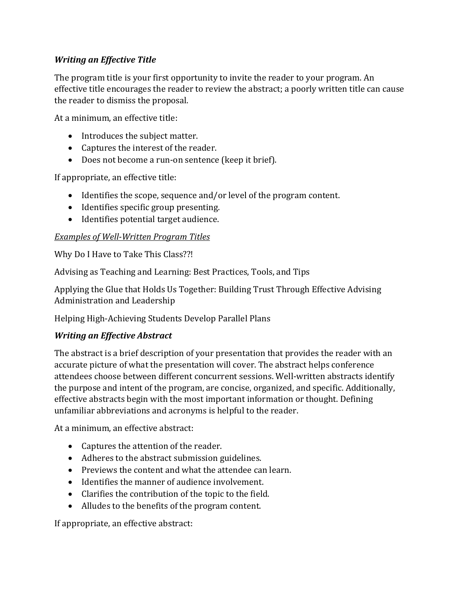## *Writing an Effective Title*

The program title is your first opportunity to invite the reader to your program. An effective title encourages the reader to review the abstract; a poorly written title can cause the reader to dismiss the proposal.

At a minimum, an effective title:

- Introduces the subject matter.
- Captures the interest of the reader.
- Does not become a run-on sentence (keep it brief).

If appropriate, an effective title:

- Identifies the scope, sequence and/or level of the program content.
- Identifies specific group presenting.
- Identifies potential target audience.

### *Examples of Well-Written Program Titles*

Why Do I Have to Take This Class??!

Advising as Teaching and Learning: Best Practices, Tools, and Tips

Applying the Glue that Holds Us Together: Building Trust Through Effective Advising Administration and Leadership

Helping High-Achieving Students Develop Parallel Plans

### *Writing an Effective Abstract*

The abstract is a brief description of your presentation that provides the reader with an accurate picture of what the presentation will cover. The abstract helps conference attendees choose between different concurrent sessions. Well-written abstracts identify the purpose and intent of the program, are concise, organized, and specific. Additionally, effective abstracts begin with the most important information or thought. Defining unfamiliar abbreviations and acronyms is helpful to the reader.

At a minimum, an effective abstract:

- Captures the attention of the reader.
- Adheres to the abstract submission guidelines.
- Previews the content and what the attendee can learn.
- Identifies the manner of audience involvement.
- Clarifies the contribution of the topic to the field.
- Alludes to the benefits of the program content.

If appropriate, an effective abstract: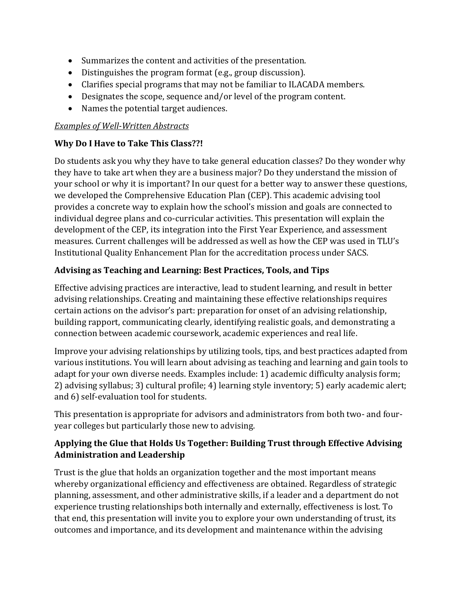- Summarizes the content and activities of the presentation.
- Distinguishes the program format (e.g., group discussion).
- Clarifies special programs that may not be familiar to ILACADA members.
- Designates the scope, sequence and/or level of the program content.
- Names the potential target audiences.

#### *Examples of Well-Written Abstracts*

### **Why Do I Have to Take This Class??!**

Do students ask you why they have to take general education classes? Do they wonder why they have to take art when they are a business major? Do they understand the mission of your school or why it is important? In our quest for a better way to answer these questions, we developed the Comprehensive Education Plan (CEP). This academic advising tool provides a concrete way to explain how the school's mission and goals are connected to individual degree plans and co-curricular activities. This presentation will explain the development of the CEP, its integration into the First Year Experience, and assessment measures. Current challenges will be addressed as well as how the CEP was used in TLU's Institutional Quality Enhancement Plan for the accreditation process under SACS.

### **Advising as Teaching and Learning: Best Practices, Tools, and Tips**

Effective advising practices are interactive, lead to student learning, and result in better advising relationships. Creating and maintaining these effective relationships requires certain actions on the advisor's part: preparation for onset of an advising relationship, building rapport, communicating clearly, identifying realistic goals, and demonstrating a connection between academic coursework, academic experiences and real life.

Improve your advising relationships by utilizing tools, tips, and best practices adapted from various institutions. You will learn about advising as teaching and learning and gain tools to adapt for your own diverse needs. Examples include: 1) academic difficulty analysis form; 2) advising syllabus; 3) cultural profile; 4) learning style inventory; 5) early academic alert; and 6) self-evaluation tool for students.

This presentation is appropriate for advisors and administrators from both two- and fouryear colleges but particularly those new to advising.

## **Applying the Glue that Holds Us Together: Building Trust through Effective Advising Administration and Leadership**

Trust is the glue that holds an organization together and the most important means whereby organizational efficiency and effectiveness are obtained. Regardless of strategic planning, assessment, and other administrative skills, if a leader and a department do not experience trusting relationships both internally and externally, effectiveness is lost. To that end, this presentation will invite you to explore your own understanding of trust, its outcomes and importance, and its development and maintenance within the advising